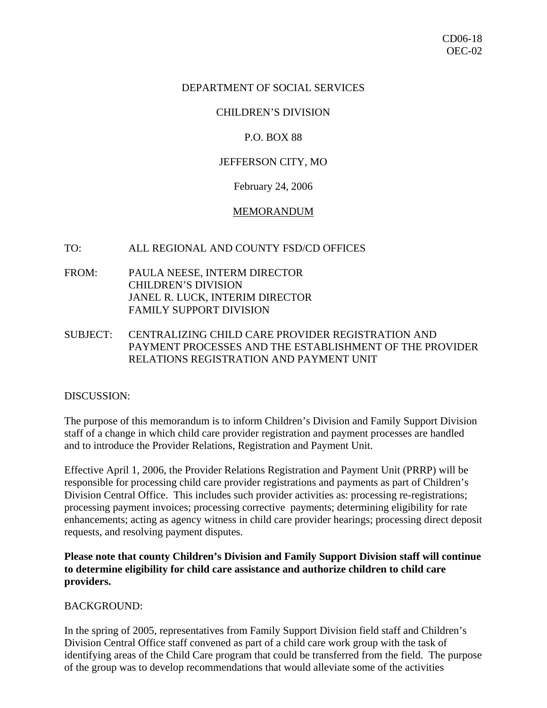### DEPARTMENT OF SOCIAL SERVICES

### CHILDREN'S DIVISION

### P.O. BOX 88

## JEFFERSON CITY, MO

#### February 24, 2006

#### MEMORANDUM

#### TO: ALL REGIONAL AND COUNTY FSD/CD OFFICES

- FROM: PAULA NEESE, INTERM DIRECTOR CHILDREN'S DIVISION JANEL R. LUCK, INTERIM DIRECTOR FAMILY SUPPORT DIVISION
- SUBJECT: CENTRALIZING CHILD CARE PROVIDER REGISTRATION AND PAYMENT PROCESSES AND THE ESTABLISHMENT OF THE PROVIDER RELATIONS REGISTRATION AND PAYMENT UNIT

#### DISCUSSION:

The purpose of this memorandum is to inform Children's Division and Family Support Division staff of a change in which child care provider registration and payment processes are handled and to introduce the Provider Relations, Registration and Payment Unit.

Effective April 1, 2006, the Provider Relations Registration and Payment Unit (PRRP) will be responsible for processing child care provider registrations and payments as part of Children's Division Central Office. This includes such provider activities as: processing re-registrations; processing payment invoices; processing corrective payments; determining eligibility for rate enhancements; acting as agency witness in child care provider hearings; processing direct deposit requests, and resolving payment disputes.

**Please note that county Children's Division and Family Support Division staff will continue to determine eligibility for child care assistance and authorize children to child care providers.** 

## BACKGROUND:

In the spring of 2005, representatives from Family Support Division field staff and Children's Division Central Office staff convened as part of a child care work group with the task of identifying areas of the Child Care program that could be transferred from the field. The purpose of the group was to develop recommendations that would alleviate some of the activities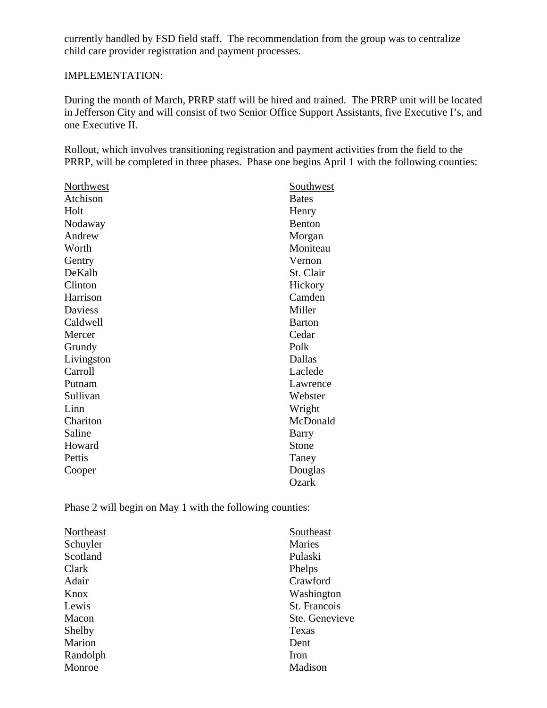currently handled by FSD field staff. The recommendation from the group was to centralize child care provider registration and payment processes.

# IMPLEMENTATION:

During the month of March, PRRP staff will be hired and trained. The PRRP unit will be located in Jefferson City and will consist of two Senior Office Support Assistants, five Executive I's, and one Executive II.

Rollout, which involves transitioning registration and payment activities from the field to the PRRP, will be completed in three phases. Phase one begins April 1 with the following counties:

| <b>Northwest</b> | <b>Southwest</b> |
|------------------|------------------|
| Atchison         | <b>Bates</b>     |
| Holt             | Henry            |
| Nodaway          | Benton           |
| Andrew           | Morgan           |
| Worth            | Moniteau         |
| Gentry           | Vernon           |
| DeKalb           | St. Clair        |
| Clinton          | Hickory          |
| Harrison         | Camden           |
| <b>Daviess</b>   | Miller           |
| Caldwell         | <b>Barton</b>    |
| Mercer           | Cedar            |
| Grundy           | Polk             |
| Livingston       | Dallas           |
| Carroll          | Laclede          |
| Putnam           | Lawrence         |
| Sullivan         | Webster          |
| Linn             | Wright           |
| Chariton         | McDonald         |
| Saline           | Barry            |
| Howard           | Stone            |
| Pettis           | Taney            |
| Cooper           | Douglas          |
|                  | Ozark            |

Phase 2 will begin on May 1 with the following counties:

| Northeast | Southeast      |
|-----------|----------------|
| Schuyler  | Maries         |
| Scotland  | Pulaski        |
| Clark     | Phelps         |
| Adair     | Crawford       |
| Knox      | Washington     |
| Lewis     | St. Francois   |
| Macon     | Ste. Genevieve |
| Shelby    | Texas          |
| Marion    | Dent           |
| Randolph  | Iron           |
| Monroe    | Madison        |